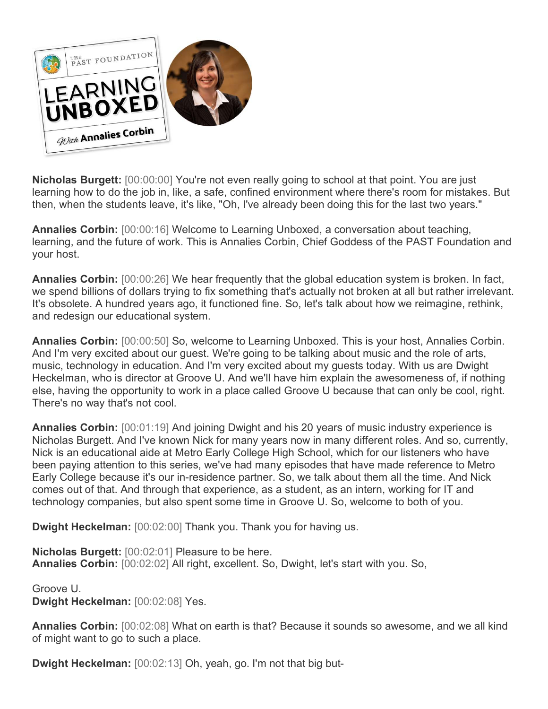

**Nicholas Burgett:** [00:00:00] You're not even really going to school at that point. You are just learning how to do the job in, like, a safe, confined environment where there's room for mistakes. But then, when the students leave, it's like, "Oh, I've already been doing this for the last two years."

**Annalies Corbin:** [00:00:16] Welcome to Learning Unboxed, a conversation about teaching, learning, and the future of work. This is Annalies Corbin, Chief Goddess of the PAST Foundation and your host.

**Annalies Corbin:** [00:00:26] We hear frequently that the global education system is broken. In fact, we spend billions of dollars trying to fix something that's actually not broken at all but rather irrelevant. It's obsolete. A hundred years ago, it functioned fine. So, let's talk about how we reimagine, rethink, and redesign our educational system.

**Annalies Corbin:** [00:00:50] So, welcome to Learning Unboxed. This is your host, Annalies Corbin. And I'm very excited about our guest. We're going to be talking about music and the role of arts, music, technology in education. And I'm very excited about my guests today. With us are Dwight Heckelman, who is director at Groove U. And we'll have him explain the awesomeness of, if nothing else, having the opportunity to work in a place called Groove U because that can only be cool, right. There's no way that's not cool.

**Annalies Corbin:** [00:01:19] And joining Dwight and his 20 years of music industry experience is Nicholas Burgett. And I've known Nick for many years now in many different roles. And so, currently, Nick is an educational aide at Metro Early College High School, which for our listeners who have been paying attention to this series, we've had many episodes that have made reference to Metro Early College because it's our in-residence partner. So, we talk about them all the time. And Nick comes out of that. And through that experience, as a student, as an intern, working for IT and technology companies, but also spent some time in Groove U. So, welcome to both of you.

**Dwight Heckelman:** [00:02:00] Thank you. Thank you for having us.

**Nicholas Burgett:** [00:02:01] Pleasure to be here. **Annalies Corbin:** [00:02:02] All right, excellent. So, Dwight, let's start with you. So,

Groove U. **Dwight Heckelman:** [00:02:08] Yes.

**Annalies Corbin:** [00:02:08] What on earth is that? Because it sounds so awesome, and we all kind of might want to go to such a place.

**Dwight Heckelman:** [00:02:13] Oh, yeah, go. I'm not that big but-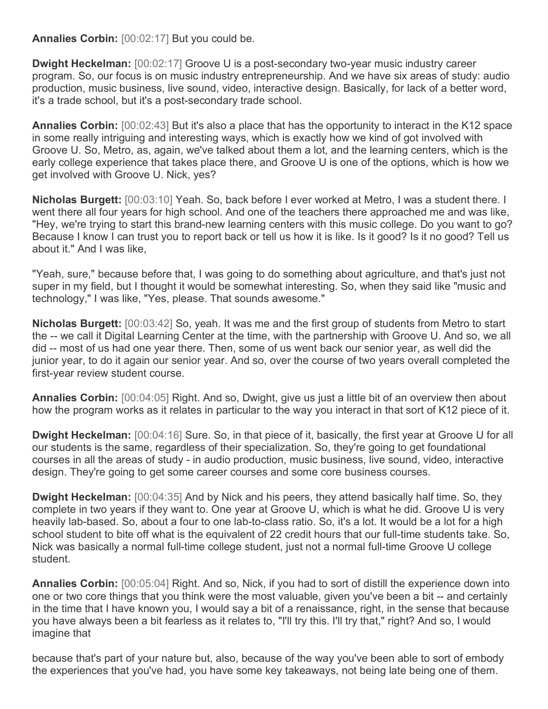**Annalies Corbin:** [00:02:17] But you could be.

**Dwight Heckelman:** [00:02:17] Groove U is a post-secondary two-year music industry career program. So, our focus is on music industry entrepreneurship. And we have six areas of study: audio production, music business, live sound, video, interactive design. Basically, for lack of a better word, it's a trade school, but it's a post-secondary trade school.

**Annalies Corbin:** [00:02:43] But it's also a place that has the opportunity to interact in the K12 space in some really intriguing and interesting ways, which is exactly how we kind of got involved with Groove U. So, Metro, as, again, we've talked about them a lot, and the learning centers, which is the early college experience that takes place there, and Groove U is one of the options, which is how we get involved with Groove U. Nick, yes?

**Nicholas Burgett:** [00:03:10] Yeah. So, back before I ever worked at Metro, I was a student there. I went there all four years for high school. And one of the teachers there approached me and was like, "Hey, we're trying to start this brand-new learning centers with this music college. Do you want to go? Because I know I can trust you to report back or tell us how it is like. Is it good? Is it no good? Tell us about it." And I was like,

"Yeah, sure," because before that, I was going to do something about agriculture, and that's just not super in my field, but I thought it would be somewhat interesting. So, when they said like "music and technology," I was like, "Yes, please. That sounds awesome."

**Nicholas Burgett:** [00:03:42] So, yeah. It was me and the first group of students from Metro to start the -- we call it Digital Learning Center at the time, with the partnership with Groove U. And so, we all did -- most of us had one year there. Then, some of us went back our senior year, as well did the junior year, to do it again our senior year. And so, over the course of two years overall completed the first-year review student course.

**Annalies Corbin:** [00:04:05] Right. And so, Dwight, give us just a little bit of an overview then about how the program works as it relates in particular to the way you interact in that sort of K12 piece of it.

**Dwight Heckelman:** [00:04:16] Sure. So, in that piece of it, basically, the first year at Groove U for all our students is the same, regardless of their specialization. So, they're going to get foundational courses in all the areas of study - in audio production, music business, live sound, video, interactive design. They're going to get some career courses and some core business courses.

**Dwight Heckelman:** [00:04:35] And by Nick and his peers, they attend basically half time. So, they complete in two years if they want to. One year at Groove U, which is what he did. Groove U is very heavily lab-based. So, about a four to one lab-to-class ratio. So, it's a lot. It would be a lot for a high school student to bite off what is the equivalent of 22 credit hours that our full-time students take. So, Nick was basically a normal full-time college student, just not a normal full-time Groove U college student.

**Annalies Corbin:** [00:05:04] Right. And so, Nick, if you had to sort of distill the experience down into one or two core things that you think were the most valuable, given you've been a bit -- and certainly in the time that I have known you, I would say a bit of a renaissance, right, in the sense that because you have always been a bit fearless as it relates to, "I'll try this. I'll try that," right? And so, I would imagine that

because that's part of your nature but, also, because of the way you've been able to sort of embody the experiences that you've had, you have some key takeaways, not being late being one of them.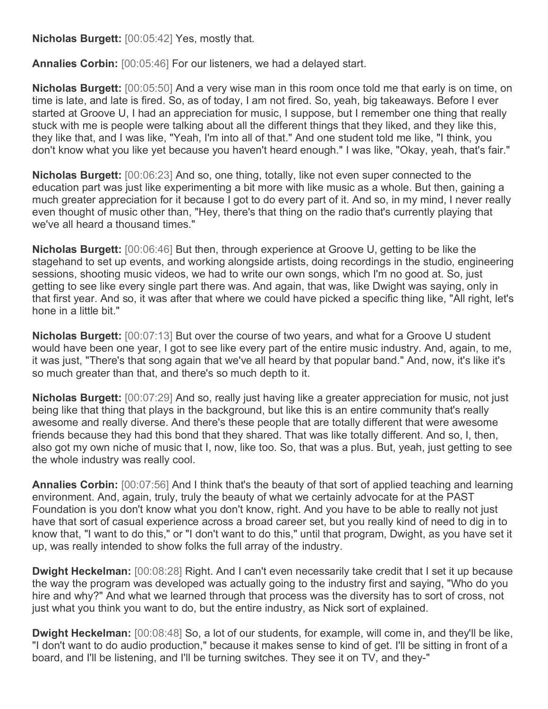**Nicholas Burgett:** [00:05:42] Yes, mostly that.

**Annalies Corbin:** [00:05:46] For our listeners, we had a delayed start.

**Nicholas Burgett:** [00:05:50] And a very wise man in this room once told me that early is on time, on time is late, and late is fired. So, as of today, I am not fired. So, yeah, big takeaways. Before I ever started at Groove U, I had an appreciation for music, I suppose, but I remember one thing that really stuck with me is people were talking about all the different things that they liked, and they like this, they like that, and I was like, "Yeah, I'm into all of that." And one student told me like, "I think, you don't know what you like yet because you haven't heard enough." I was like, "Okay, yeah, that's fair."

**Nicholas Burgett:** [00:06:23] And so, one thing, totally, like not even super connected to the education part was just like experimenting a bit more with like music as a whole. But then, gaining a much greater appreciation for it because I got to do every part of it. And so, in my mind, I never really even thought of music other than, "Hey, there's that thing on the radio that's currently playing that we've all heard a thousand times."

**Nicholas Burgett:** [00:06:46] But then, through experience at Groove U, getting to be like the stagehand to set up events, and working alongside artists, doing recordings in the studio, engineering sessions, shooting music videos, we had to write our own songs, which I'm no good at. So, just getting to see like every single part there was. And again, that was, like Dwight was saying, only in that first year. And so, it was after that where we could have picked a specific thing like, "All right, let's hone in a little bit."

**Nicholas Burgett:** [00:07:13] But over the course of two years, and what for a Groove U student would have been one year, I got to see like every part of the entire music industry. And, again, to me, it was just, "There's that song again that we've all heard by that popular band." And, now, it's like it's so much greater than that, and there's so much depth to it.

**Nicholas Burgett:** [00:07:29] And so, really just having like a greater appreciation for music, not just being like that thing that plays in the background, but like this is an entire community that's really awesome and really diverse. And there's these people that are totally different that were awesome friends because they had this bond that they shared. That was like totally different. And so, I, then, also got my own niche of music that I, now, like too. So, that was a plus. But, yeah, just getting to see the whole industry was really cool.

**Annalies Corbin:** [00:07:56] And I think that's the beauty of that sort of applied teaching and learning environment. And, again, truly, truly the beauty of what we certainly advocate for at the PAST Foundation is you don't know what you don't know, right. And you have to be able to really not just have that sort of casual experience across a broad career set, but you really kind of need to dig in to know that, "I want to do this," or "I don't want to do this," until that program, Dwight, as you have set it up, was really intended to show folks the full array of the industry.

**Dwight Heckelman:** [00:08:28] Right. And I can't even necessarily take credit that I set it up because the way the program was developed was actually going to the industry first and saying, "Who do you hire and why?" And what we learned through that process was the diversity has to sort of cross, not just what you think you want to do, but the entire industry, as Nick sort of explained.

**Dwight Heckelman:** [00:08:48] So, a lot of our students, for example, will come in, and they'll be like, "I don't want to do audio production," because it makes sense to kind of get. I'll be sitting in front of a board, and I'll be listening, and I'll be turning switches. They see it on TV, and they-"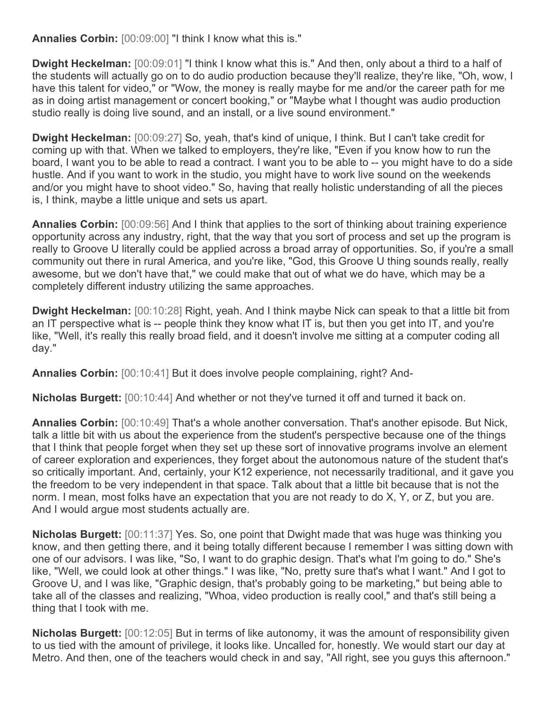**Annalies Corbin:** [00:09:00] "I think I know what this is."

**Dwight Heckelman:** [00:09:01] "I think I know what this is." And then, only about a third to a half of the students will actually go on to do audio production because they'll realize, they're like, "Oh, wow, I have this talent for video," or "Wow, the money is really maybe for me and/or the career path for me as in doing artist management or concert booking," or "Maybe what I thought was audio production studio really is doing live sound, and an install, or a live sound environment."

**Dwight Heckelman:** [00:09:27] So, yeah, that's kind of unique, I think. But I can't take credit for coming up with that. When we talked to employers, they're like, "Even if you know how to run the board, I want you to be able to read a contract. I want you to be able to -- you might have to do a side hustle. And if you want to work in the studio, you might have to work live sound on the weekends and/or you might have to shoot video." So, having that really holistic understanding of all the pieces is, I think, maybe a little unique and sets us apart.

**Annalies Corbin:** [00:09:56] And I think that applies to the sort of thinking about training experience opportunity across any industry, right, that the way that you sort of process and set up the program is really to Groove U literally could be applied across a broad array of opportunities. So, if you're a small community out there in rural America, and you're like, "God, this Groove U thing sounds really, really awesome, but we don't have that," we could make that out of what we do have, which may be a completely different industry utilizing the same approaches.

**Dwight Heckelman:** [00:10:28] Right, yeah. And I think maybe Nick can speak to that a little bit from an IT perspective what is -- people think they know what IT is, but then you get into IT, and you're like, "Well, it's really this really broad field, and it doesn't involve me sitting at a computer coding all day."

**Annalies Corbin:** [00:10:41] But it does involve people complaining, right? And-

**Nicholas Burgett:** [00:10:44] And whether or not they've turned it off and turned it back on.

**Annalies Corbin:** [00:10:49] That's a whole another conversation. That's another episode. But Nick, talk a little bit with us about the experience from the student's perspective because one of the things that I think that people forget when they set up these sort of innovative programs involve an element of career exploration and experiences, they forget about the autonomous nature of the student that's so critically important. And, certainly, your K12 experience, not necessarily traditional, and it gave you the freedom to be very independent in that space. Talk about that a little bit because that is not the norm. I mean, most folks have an expectation that you are not ready to do X, Y, or Z, but you are. And I would argue most students actually are.

**Nicholas Burgett:** [00:11:37] Yes. So, one point that Dwight made that was huge was thinking you know, and then getting there, and it being totally different because I remember I was sitting down with one of our advisors. I was like, "So, I want to do graphic design. That's what I'm going to do." She's like, "Well, we could look at other things." I was like, "No, pretty sure that's what I want." And I got to Groove U, and I was like, "Graphic design, that's probably going to be marketing," but being able to take all of the classes and realizing, "Whoa, video production is really cool," and that's still being a thing that I took with me.

**Nicholas Burgett:** [00:12:05] But in terms of like autonomy, it was the amount of responsibility given to us tied with the amount of privilege, it looks like. Uncalled for, honestly. We would start our day at Metro. And then, one of the teachers would check in and say, "All right, see you guys this afternoon."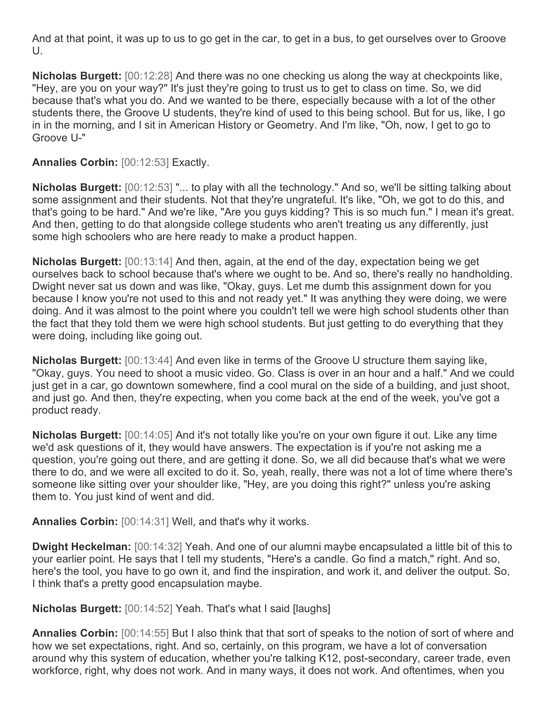And at that point, it was up to us to go get in the car, to get in a bus, to get ourselves over to Groove  $U_{\cdot}$ 

**Nicholas Burgett:** [00:12:28] And there was no one checking us along the way at checkpoints like, "Hey, are you on your way?" It's just they're going to trust us to get to class on time. So, we did because that's what you do. And we wanted to be there, especially because with a lot of the other students there, the Groove U students, they're kind of used to this being school. But for us, like, I go in in the morning, and I sit in American History or Geometry. And I'm like, "Oh, now, I get to go to Groove U-"

## **Annalies Corbin:** [00:12:53] Exactly.

**Nicholas Burgett:** [00:12:53] "... to play with all the technology." And so, we'll be sitting talking about some assignment and their students. Not that they're ungrateful. It's like, "Oh, we got to do this, and that's going to be hard." And we're like, "Are you guys kidding? This is so much fun." I mean it's great. And then, getting to do that alongside college students who aren't treating us any differently, just some high schoolers who are here ready to make a product happen.

**Nicholas Burgett:** [00:13:14] And then, again, at the end of the day, expectation being we get ourselves back to school because that's where we ought to be. And so, there's really no handholding. Dwight never sat us down and was like, "Okay, guys. Let me dumb this assignment down for you because I know you're not used to this and not ready yet." It was anything they were doing, we were doing. And it was almost to the point where you couldn't tell we were high school students other than the fact that they told them we were high school students. But just getting to do everything that they were doing, including like going out.

**Nicholas Burgett:** [00:13:44] And even like in terms of the Groove U structure them saying like, "Okay, guys. You need to shoot a music video. Go. Class is over in an hour and a half." And we could just get in a car, go downtown somewhere, find a cool mural on the side of a building, and just shoot, and just go. And then, they're expecting, when you come back at the end of the week, you've got a product ready.

**Nicholas Burgett:** [00:14:05] And it's not totally like you're on your own figure it out. Like any time we'd ask questions of it, they would have answers. The expectation is if you're not asking me a question, you're going out there, and are getting it done. So, we all did because that's what we were there to do, and we were all excited to do it. So, yeah, really, there was not a lot of time where there's someone like sitting over your shoulder like, "Hey, are you doing this right?" unless you're asking them to. You just kind of went and did.

**Annalies Corbin:** [00:14:31] Well, and that's why it works.

**Dwight Heckelman:** [00:14:32] Yeah. And one of our alumni maybe encapsulated a little bit of this to your earlier point. He says that I tell my students, "Here's a candle. Go find a match," right. And so, here's the tool, you have to go own it, and find the inspiration, and work it, and deliver the output. So, I think that's a pretty good encapsulation maybe.

**Nicholas Burgett:** [00:14:52] Yeah. That's what I said [laughs]

**Annalies Corbin:** [00:14:55] But I also think that that sort of speaks to the notion of sort of where and how we set expectations, right. And so, certainly, on this program, we have a lot of conversation around why this system of education, whether you're talking K12, post-secondary, career trade, even workforce, right, why does not work. And in many ways, it does not work. And oftentimes, when you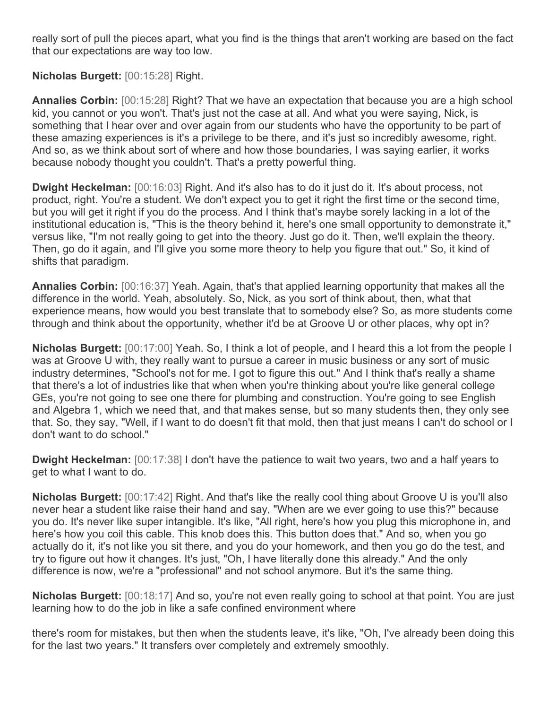really sort of pull the pieces apart, what you find is the things that aren't working are based on the fact that our expectations are way too low.

## **Nicholas Burgett:** [00:15:28] Right.

**Annalies Corbin:** [00:15:28] Right? That we have an expectation that because you are a high school kid, you cannot or you won't. That's just not the case at all. And what you were saying, Nick, is something that I hear over and over again from our students who have the opportunity to be part of these amazing experiences is it's a privilege to be there, and it's just so incredibly awesome, right. And so, as we think about sort of where and how those boundaries, I was saying earlier, it works because nobody thought you couldn't. That's a pretty powerful thing.

**Dwight Heckelman:** [00:16:03] Right. And it's also has to do it just do it. It's about process, not product, right. You're a student. We don't expect you to get it right the first time or the second time, but you will get it right if you do the process. And I think that's maybe sorely lacking in a lot of the institutional education is, "This is the theory behind it, here's one small opportunity to demonstrate it," versus like, "I'm not really going to get into the theory. Just go do it. Then, we'll explain the theory. Then, go do it again, and I'll give you some more theory to help you figure that out." So, it kind of shifts that paradigm.

**Annalies Corbin:** [00:16:37] Yeah. Again, that's that applied learning opportunity that makes all the difference in the world. Yeah, absolutely. So, Nick, as you sort of think about, then, what that experience means, how would you best translate that to somebody else? So, as more students come through and think about the opportunity, whether it'd be at Groove U or other places, why opt in?

**Nicholas Burgett:** [00:17:00] Yeah. So, I think a lot of people, and I heard this a lot from the people I was at Groove U with, they really want to pursue a career in music business or any sort of music industry determines, "School's not for me. I got to figure this out." And I think that's really a shame that there's a lot of industries like that when when you're thinking about you're like general college GEs, you're not going to see one there for plumbing and construction. You're going to see English and Algebra 1, which we need that, and that makes sense, but so many students then, they only see that. So, they say, "Well, if I want to do doesn't fit that mold, then that just means I can't do school or I don't want to do school."

**Dwight Heckelman:** [00:17:38] I don't have the patience to wait two years, two and a half years to get to what I want to do.

**Nicholas Burgett:** [00:17:42] Right. And that's like the really cool thing about Groove U is you'll also never hear a student like raise their hand and say, "When are we ever going to use this?" because you do. It's never like super intangible. It's like, "All right, here's how you plug this microphone in, and here's how you coil this cable. This knob does this. This button does that." And so, when you go actually do it, it's not like you sit there, and you do your homework, and then you go do the test, and try to figure out how it changes. It's just, "Oh, I have literally done this already." And the only difference is now, we're a "professional" and not school anymore. But it's the same thing.

**Nicholas Burgett:** [00:18:17] And so, you're not even really going to school at that point. You are just learning how to do the job in like a safe confined environment where

there's room for mistakes, but then when the students leave, it's like, "Oh, I've already been doing this for the last two years." It transfers over completely and extremely smoothly.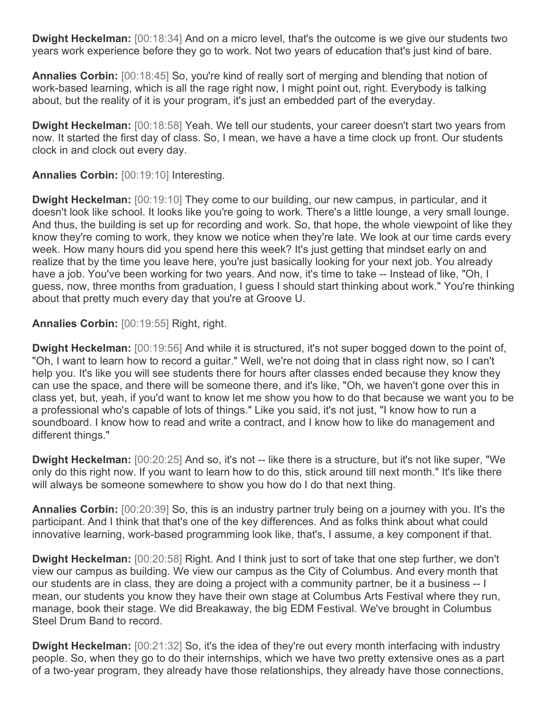**Dwight Heckelman:** [00:18:34] And on a micro level, that's the outcome is we give our students two years work experience before they go to work. Not two years of education that's just kind of bare.

**Annalies Corbin:** [00:18:45] So, you're kind of really sort of merging and blending that notion of work-based learning, which is all the rage right now, I might point out, right. Everybody is talking about, but the reality of it is your program, it's just an embedded part of the everyday.

**Dwight Heckelman:** [00:18:58] Yeah. We tell our students, your career doesn't start two years from now. It started the first day of class. So, I mean, we have a have a time clock up front. Our students clock in and clock out every day.

**Annalies Corbin:** [00:19:10] Interesting.

**Dwight Heckelman:** [00:19:10] They come to our building, our new campus, in particular, and it doesn't look like school. It looks like you're going to work. There's a little lounge, a very small lounge. And thus, the building is set up for recording and work. So, that hope, the whole viewpoint of like they know they're coming to work, they know we notice when they're late. We look at our time cards every week. How many hours did you spend here this week? It's just getting that mindset early on and realize that by the time you leave here, you're just basically looking for your next job. You already have a job. You've been working for two years. And now, it's time to take -- Instead of like, "Oh, I guess, now, three months from graduation, I guess I should start thinking about work." You're thinking about that pretty much every day that you're at Groove U.

**Annalies Corbin:** [00:19:55] Right, right.

**Dwight Heckelman:** [00:19:56] And while it is structured, it's not super bogged down to the point of, "Oh, I want to learn how to record a guitar." Well, we're not doing that in class right now, so I can't help you. It's like you will see students there for hours after classes ended because they know they can use the space, and there will be someone there, and it's like, "Oh, we haven't gone over this in class yet, but, yeah, if you'd want to know let me show you how to do that because we want you to be a professional who's capable of lots of things." Like you said, it's not just, "I know how to run a soundboard. I know how to read and write a contract, and I know how to like do management and different things."

**Dwight Heckelman:** [00:20:25] And so, it's not -- like there is a structure, but it's not like super, "We only do this right now. If you want to learn how to do this, stick around till next month." It's like there will always be someone somewhere to show you how do I do that next thing.

**Annalies Corbin:** [00:20:39] So, this is an industry partner truly being on a journey with you. It's the participant. And I think that that's one of the key differences. And as folks think about what could innovative learning, work-based programming look like, that's, I assume, a key component if that.

**Dwight Heckelman:** [00:20:58] Right. And I think just to sort of take that one step further, we don't view our campus as building. We view our campus as the City of Columbus. And every month that our students are in class, they are doing a project with a community partner, be it a business -- I mean, our students you know they have their own stage at Columbus Arts Festival where they run, manage, book their stage. We did Breakaway, the big EDM Festival. We've brought in Columbus Steel Drum Band to record.

**Dwight Heckelman:** [00:21:32] So, it's the idea of they're out every month interfacing with industry people. So, when they go to do their internships, which we have two pretty extensive ones as a part of a two-year program, they already have those relationships, they already have those connections,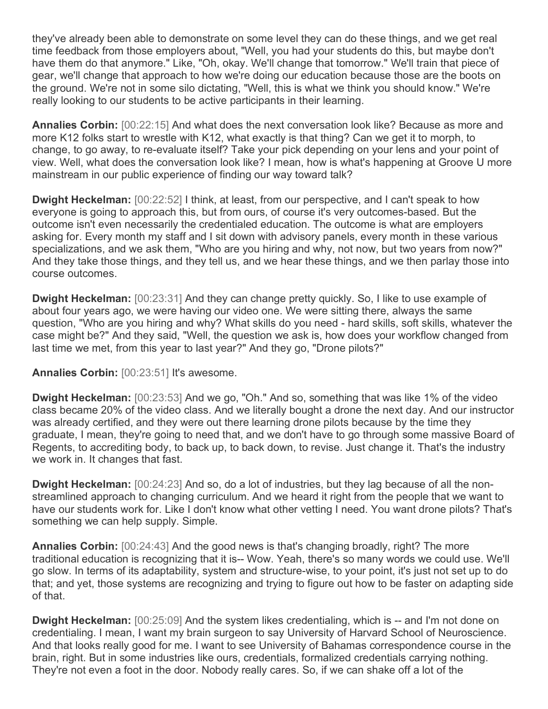they've already been able to demonstrate on some level they can do these things, and we get real time feedback from those employers about, "Well, you had your students do this, but maybe don't have them do that anymore." Like, "Oh, okay. We'll change that tomorrow." We'll train that piece of gear, we'll change that approach to how we're doing our education because those are the boots on the ground. We're not in some silo dictating, "Well, this is what we think you should know." We're really looking to our students to be active participants in their learning.

**Annalies Corbin:** [00:22:15] And what does the next conversation look like? Because as more and more K12 folks start to wrestle with K12, what exactly is that thing? Can we get it to morph, to change, to go away, to re-evaluate itself? Take your pick depending on your lens and your point of view. Well, what does the conversation look like? I mean, how is what's happening at Groove U more mainstream in our public experience of finding our way toward talk?

**Dwight Heckelman:** [00:22:52] I think, at least, from our perspective, and I can't speak to how everyone is going to approach this, but from ours, of course it's very outcomes-based. But the outcome isn't even necessarily the credentialed education. The outcome is what are employers asking for. Every month my staff and I sit down with advisory panels, every month in these various specializations, and we ask them, "Who are you hiring and why, not now, but two years from now?" And they take those things, and they tell us, and we hear these things, and we then parlay those into course outcomes.

**Dwight Heckelman:** [00:23:31] And they can change pretty quickly. So, I like to use example of about four years ago, we were having our video one. We were sitting there, always the same question, "Who are you hiring and why? What skills do you need - hard skills, soft skills, whatever the case might be?" And they said, "Well, the question we ask is, how does your workflow changed from last time we met, from this year to last year?" And they go, "Drone pilots?"

**Annalies Corbin:** [00:23:51] It's awesome.

**Dwight Heckelman:** [00:23:53] And we go, "Oh." And so, something that was like 1% of the video class became 20% of the video class. And we literally bought a drone the next day. And our instructor was already certified, and they were out there learning drone pilots because by the time they graduate, I mean, they're going to need that, and we don't have to go through some massive Board of Regents, to accrediting body, to back up, to back down, to revise. Just change it. That's the industry we work in. It changes that fast.

**Dwight Heckelman:** [00:24:23] And so, do a lot of industries, but they lag because of all the nonstreamlined approach to changing curriculum. And we heard it right from the people that we want to have our students work for. Like I don't know what other vetting I need. You want drone pilots? That's something we can help supply. Simple.

**Annalies Corbin:** [00:24:43] And the good news is that's changing broadly, right? The more traditional education is recognizing that it is-- Wow. Yeah, there's so many words we could use. We'll go slow. In terms of its adaptability, system and structure-wise, to your point, it's just not set up to do that; and yet, those systems are recognizing and trying to figure out how to be faster on adapting side of that.

**Dwight Heckelman:** [00:25:09] And the system likes credentialing, which is -- and I'm not done on credentialing. I mean, I want my brain surgeon to say University of Harvard School of Neuroscience. And that looks really good for me. I want to see University of Bahamas correspondence course in the brain, right. But in some industries like ours, credentials, formalized credentials carrying nothing. They're not even a foot in the door. Nobody really cares. So, if we can shake off a lot of the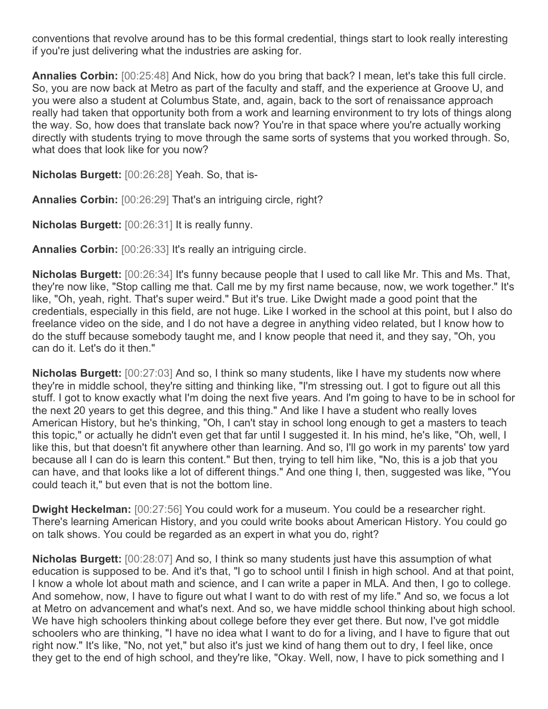conventions that revolve around has to be this formal credential, things start to look really interesting if you're just delivering what the industries are asking for.

**Annalies Corbin:** [00:25:48] And Nick, how do you bring that back? I mean, let's take this full circle. So, you are now back at Metro as part of the faculty and staff, and the experience at Groove U, and you were also a student at Columbus State, and, again, back to the sort of renaissance approach really had taken that opportunity both from a work and learning environment to try lots of things along the way. So, how does that translate back now? You're in that space where you're actually working directly with students trying to move through the same sorts of systems that you worked through. So, what does that look like for you now?

**Nicholas Burgett:** [00:26:28] Yeah. So, that is-

**Annalies Corbin:** [00:26:29] That's an intriguing circle, right?

**Nicholas Burgett:** [00:26:31] It is really funny.

**Annalies Corbin:** [00:26:33] It's really an intriguing circle.

**Nicholas Burgett:** [00:26:34] It's funny because people that I used to call like Mr. This and Ms. That, they're now like, "Stop calling me that. Call me by my first name because, now, we work together." It's like, "Oh, yeah, right. That's super weird." But it's true. Like Dwight made a good point that the credentials, especially in this field, are not huge. Like I worked in the school at this point, but I also do freelance video on the side, and I do not have a degree in anything video related, but I know how to do the stuff because somebody taught me, and I know people that need it, and they say, "Oh, you can do it. Let's do it then."

**Nicholas Burgett:** [00:27:03] And so, I think so many students, like I have my students now where they're in middle school, they're sitting and thinking like, "I'm stressing out. I got to figure out all this stuff. I got to know exactly what I'm doing the next five years. And I'm going to have to be in school for the next 20 years to get this degree, and this thing." And like I have a student who really loves American History, but he's thinking, "Oh, I can't stay in school long enough to get a masters to teach this topic," or actually he didn't even get that far until I suggested it. In his mind, he's like, "Oh, well, I like this, but that doesn't fit anywhere other than learning. And so, I'll go work in my parents' tow yard because all I can do is learn this content." But then, trying to tell him like, "No, this is a job that you can have, and that looks like a lot of different things." And one thing I, then, suggested was like, "You could teach it," but even that is not the bottom line.

**Dwight Heckelman:** [00:27:56] You could work for a museum. You could be a researcher right. There's learning American History, and you could write books about American History. You could go on talk shows. You could be regarded as an expert in what you do, right?

**Nicholas Burgett:** [00:28:07] And so, I think so many students just have this assumption of what education is supposed to be. And it's that, "I go to school until I finish in high school. And at that point, I know a whole lot about math and science, and I can write a paper in MLA. And then, I go to college. And somehow, now, I have to figure out what I want to do with rest of my life." And so, we focus a lot at Metro on advancement and what's next. And so, we have middle school thinking about high school. We have high schoolers thinking about college before they ever get there. But now, I've got middle schoolers who are thinking, "I have no idea what I want to do for a living, and I have to figure that out right now." It's like, "No, not yet," but also it's just we kind of hang them out to dry, I feel like, once they get to the end of high school, and they're like, "Okay. Well, now, I have to pick something and I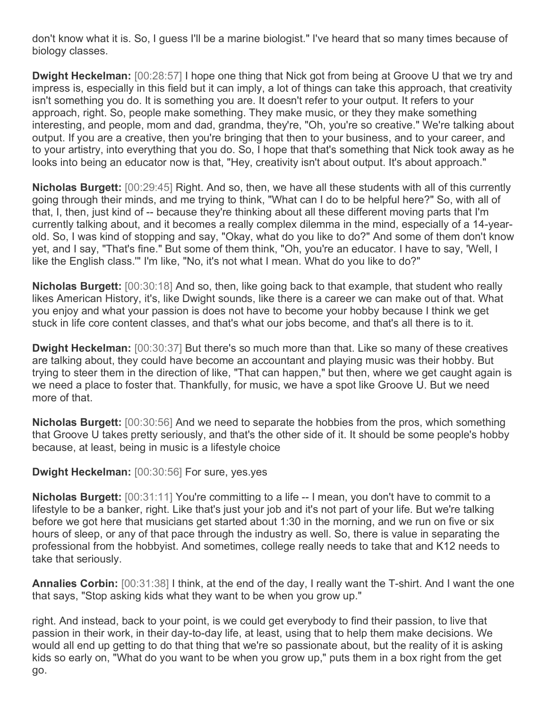don't know what it is. So, I guess I'll be a marine biologist." I've heard that so many times because of biology classes.

**Dwight Heckelman:** [00:28:57] I hope one thing that Nick got from being at Groove U that we try and impress is, especially in this field but it can imply, a lot of things can take this approach, that creativity isn't something you do. It is something you are. It doesn't refer to your output. It refers to your approach, right. So, people make something. They make music, or they they make something interesting, and people, mom and dad, grandma, they're, "Oh, you're so creative." We're talking about output. If you are a creative, then you're bringing that then to your business, and to your career, and to your artistry, into everything that you do. So, I hope that that's something that Nick took away as he looks into being an educator now is that, "Hey, creativity isn't about output. It's about approach."

**Nicholas Burgett:** [00:29:45] Right. And so, then, we have all these students with all of this currently going through their minds, and me trying to think, "What can I do to be helpful here?" So, with all of that, I, then, just kind of -- because they're thinking about all these different moving parts that I'm currently talking about, and it becomes a really complex dilemma in the mind, especially of a 14-yearold. So, I was kind of stopping and say, "Okay, what do you like to do?" And some of them don't know yet, and I say, "That's fine." But some of them think, "Oh, you're an educator. I have to say, 'Well, I like the English class.'" I'm like, "No, it's not what I mean. What do you like to do?"

**Nicholas Burgett:** [00:30:18] And so, then, like going back to that example, that student who really likes American History, it's, like Dwight sounds, like there is a career we can make out of that. What you enjoy and what your passion is does not have to become your hobby because I think we get stuck in life core content classes, and that's what our jobs become, and that's all there is to it.

**Dwight Heckelman:** [00:30:37] But there's so much more than that. Like so many of these creatives are talking about, they could have become an accountant and playing music was their hobby. But trying to steer them in the direction of like, "That can happen," but then, where we get caught again is we need a place to foster that. Thankfully, for music, we have a spot like Groove U. But we need more of that.

**Nicholas Burgett:** [00:30:56] And we need to separate the hobbies from the pros, which something that Groove U takes pretty seriously, and that's the other side of it. It should be some people's hobby because, at least, being in music is a lifestyle choice

## **Dwight Heckelman:** [00:30:56] For sure, yes.yes

**Nicholas Burgett:** [00:31:11] You're committing to a life -- I mean, you don't have to commit to a lifestyle to be a banker, right. Like that's just your job and it's not part of your life. But we're talking before we got here that musicians get started about 1:30 in the morning, and we run on five or six hours of sleep, or any of that pace through the industry as well. So, there is value in separating the professional from the hobbyist. And sometimes, college really needs to take that and K12 needs to take that seriously.

**Annalies Corbin:** [00:31:38] I think, at the end of the day, I really want the T-shirt. And I want the one that says, "Stop asking kids what they want to be when you grow up."

right. And instead, back to your point, is we could get everybody to find their passion, to live that passion in their work, in their day-to-day life, at least, using that to help them make decisions. We would all end up getting to do that thing that we're so passionate about, but the reality of it is asking kids so early on, "What do you want to be when you grow up," puts them in a box right from the get go.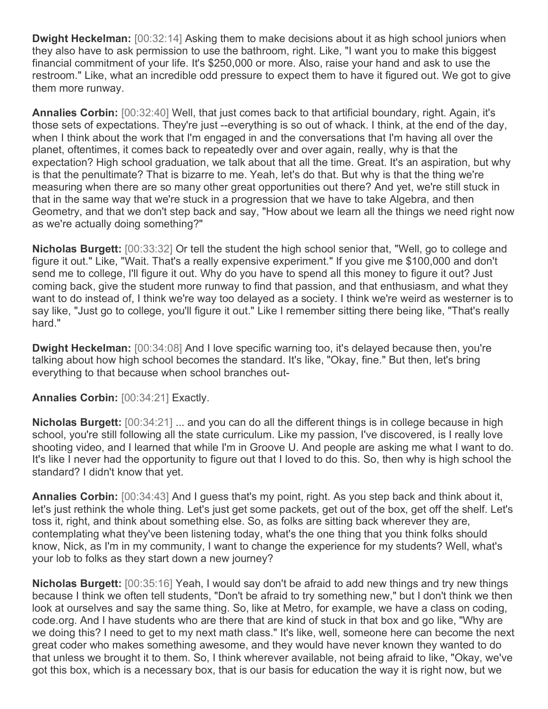**Dwight Heckelman:** [00:32:14] Asking them to make decisions about it as high school juniors when they also have to ask permission to use the bathroom, right. Like, "I want you to make this biggest financial commitment of your life. It's \$250,000 or more. Also, raise your hand and ask to use the restroom." Like, what an incredible odd pressure to expect them to have it figured out. We got to give them more runway.

**Annalies Corbin:** [00:32:40] Well, that just comes back to that artificial boundary, right. Again, it's those sets of expectations. They're just --everything is so out of whack. I think, at the end of the day, when I think about the work that I'm engaged in and the conversations that I'm having all over the planet, oftentimes, it comes back to repeatedly over and over again, really, why is that the expectation? High school graduation, we talk about that all the time. Great. It's an aspiration, but why is that the penultimate? That is bizarre to me. Yeah, let's do that. But why is that the thing we're measuring when there are so many other great opportunities out there? And yet, we're still stuck in that in the same way that we're stuck in a progression that we have to take Algebra, and then Geometry, and that we don't step back and say, "How about we learn all the things we need right now as we're actually doing something?"

**Nicholas Burgett:** [00:33:32] Or tell the student the high school senior that, "Well, go to college and figure it out." Like, "Wait. That's a really expensive experiment." If you give me \$100,000 and don't send me to college, I'll figure it out. Why do you have to spend all this money to figure it out? Just coming back, give the student more runway to find that passion, and that enthusiasm, and what they want to do instead of, I think we're way too delayed as a society. I think we're weird as westerner is to say like, "Just go to college, you'll figure it out." Like I remember sitting there being like, "That's really hard."

**Dwight Heckelman:** [00:34:08] And I love specific warning too, it's delayed because then, you're talking about how high school becomes the standard. It's like, "Okay, fine." But then, let's bring everything to that because when school branches out-

**Annalies Corbin:** [00:34:21] Exactly.

**Nicholas Burgett:** [00:34:21] ... and you can do all the different things is in college because in high school, you're still following all the state curriculum. Like my passion, I've discovered, is I really love shooting video, and I learned that while I'm in Groove U. And people are asking me what I want to do. It's like I never had the opportunity to figure out that I loved to do this. So, then why is high school the standard? I didn't know that yet.

**Annalies Corbin:** [00:34:43] And I guess that's my point, right. As you step back and think about it, let's just rethink the whole thing. Let's just get some packets, get out of the box, get off the shelf. Let's toss it, right, and think about something else. So, as folks are sitting back wherever they are, contemplating what they've been listening today, what's the one thing that you think folks should know, Nick, as I'm in my community, I want to change the experience for my students? Well, what's your lob to folks as they start down a new journey?

**Nicholas Burgett:** [00:35:16] Yeah, I would say don't be afraid to add new things and try new things because I think we often tell students, "Don't be afraid to try something new," but I don't think we then look at ourselves and say the same thing. So, like at Metro, for example, we have a class on coding, code.org. And I have students who are there that are kind of stuck in that box and go like, "Why are we doing this? I need to get to my next math class." It's like, well, someone here can become the next great coder who makes something awesome, and they would have never known they wanted to do that unless we brought it to them. So, I think wherever available, not being afraid to like, "Okay, we've got this box, which is a necessary box, that is our basis for education the way it is right now, but we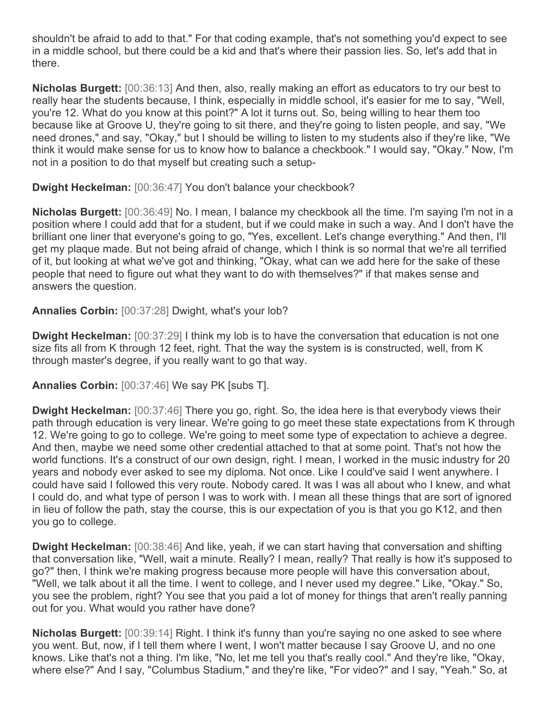shouldn't be afraid to add to that." For that coding example, that's not something you'd expect to see in a middle school, but there could be a kid and that's where their passion lies. So, let's add that in there.

**Nicholas Burgett:** [00:36:13] And then, also, really making an effort as educators to try our best to really hear the students because, I think, especially in middle school, it's easier for me to say, "Well, you're 12. What do you know at this point?" A lot it turns out. So, being willing to hear them too because like at Groove U, they're going to sit there, and they're going to listen people, and say, "We need drones," and say, "Okay," but I should be willing to listen to my students also if they're like, "We think it would make sense for us to know how to balance a checkbook." I would say, "Okay." Now, I'm not in a position to do that myself but creating such a setup-

**Dwight Heckelman:** [00:36:47] You don't balance your checkbook?

**Nicholas Burgett:** [00:36:49] No. I mean, I balance my checkbook all the time. I'm saying I'm not in a position where I could add that for a student, but if we could make in such a way. And I don't have the brilliant one liner that everyone's going to go, "Yes, excellent. Let's change everything." And then, I'll get my plaque made. But not being afraid of change, which I think is so normal that we're all terrified of it, but looking at what we've got and thinking, "Okay, what can we add here for the sake of these people that need to figure out what they want to do with themselves?" if that makes sense and answers the question.

**Annalies Corbin:** [00:37:28] Dwight, what's your lob?

**Dwight Heckelman:** [00:37:29] I think my lob is to have the conversation that education is not one size fits all from K through 12 feet, right. That the way the system is is constructed, well, from K through master's degree, if you really want to go that way.

**Annalies Corbin:** [00:37:46] We say PK [subs T].

**Dwight Heckelman:** [00:37:46] There you go, right. So, the idea here is that everybody views their path through education is very linear. We're going to go meet these state expectations from K through 12. We're going to go to college. We're going to meet some type of expectation to achieve a degree. And then, maybe we need some other credential attached to that at some point. That's not how the world functions. It's a construct of our own design, right. I mean, I worked in the music industry for 20 years and nobody ever asked to see my diploma. Not once. Like I could've said I went anywhere. I could have said I followed this very route. Nobody cared. It was I was all about who I knew, and what I could do, and what type of person I was to work with. I mean all these things that are sort of ignored in lieu of follow the path, stay the course, this is our expectation of you is that you go K12, and then you go to college.

**Dwight Heckelman:** [00:38:46] And like, yeah, if we can start having that conversation and shifting that conversation like, "Well, wait a minute. Really? I mean, really? That really is how it's supposed to go?" then, I think we're making progress because more people will have this conversation about, "Well, we talk about it all the time. I went to college, and I never used my degree." Like, "Okay." So, you see the problem, right? You see that you paid a lot of money for things that aren't really panning out for you. What would you rather have done?

**Nicholas Burgett:** [00:39:14] Right. I think it's funny than you're saying no one asked to see where you went. But, now, if I tell them where I went, I won't matter because I say Groove U, and no one knows. Like that's not a thing. I'm like, "No, let me tell you that's really cool." And they're like, "Okay, where else?" And I say, "Columbus Stadium," and they're like, "For video?" and I say, "Yeah." So, at